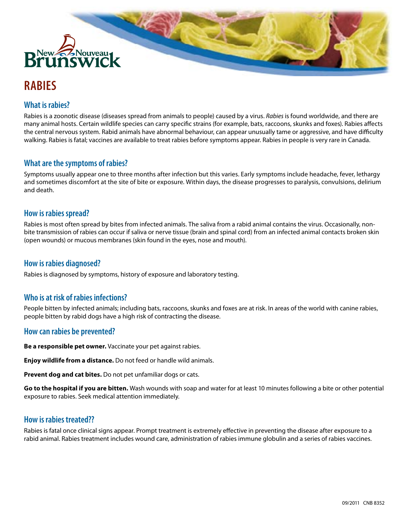

# **RABIES**

# **What is rabies?**

Rabies is a zoonotic disease (diseases spread from animals to people) caused by a virus. *Rabies* is found worldwide, and there are many animal hosts. Certain wildlife species can carry specific strains (for example, bats, raccoons, skunks and foxes). Rabies affects the central nervous system. Rabid animals have abnormal behaviour, can appear unusually tame or aggressive, and have difficulty walking. Rabies is fatal; vaccines are available to treat rabies before symptoms appear. Rabies in people is very rare in Canada.

## **What are the symptoms of rabies?**

Symptoms usually appear one to three months after infection but this varies. Early symptoms include headache, fever, lethargy and sometimes discomfort at the site of bite or exposure. Within days, the disease progresses to paralysis, convulsions, delirium and death.

#### **How is rabies spread?**

Rabies is most often spread by bites from infected animals. The saliva from a rabid animal contains the virus. Occasionally, nonbite transmission of rabies can occur if saliva or nerve tissue (brain and spinal cord) from an infected animal contacts broken skin (open wounds) or mucous membranes (skin found in the eyes, nose and mouth).

## **How is rabies diagnosed?**

Rabies is diagnosed by symptoms, history of exposure and laboratory testing.

# **Who is at risk of rabies infections?**

People bitten by infected animals; including bats, raccoons, skunks and foxes are at risk. In areas of the world with canine rabies, people bitten by rabid dogs have a high risk of contracting the disease.

#### **How can rabies be prevented?**

**Be a responsible pet owner.** Vaccinate your pet against rabies.

**Enjoy wildlife from a distance.** Do not feed or handle wild animals.

**Prevent dog and cat bites.** Do not pet unfamiliar dogs or cats.

**Go to the hospital if you are bitten.** Wash wounds with soap and water for at least 10 minutes following a bite or other potential exposure to rabies. Seek medical attention immediately.

# **How is rabies treated??**

Rabies is fatal once clinical signs appear. Prompt treatment is extremely effective in preventing the disease after exposure to a rabid animal. Rabies treatment includes wound care, administration of rabies immune globulin and a series of rabies vaccines.